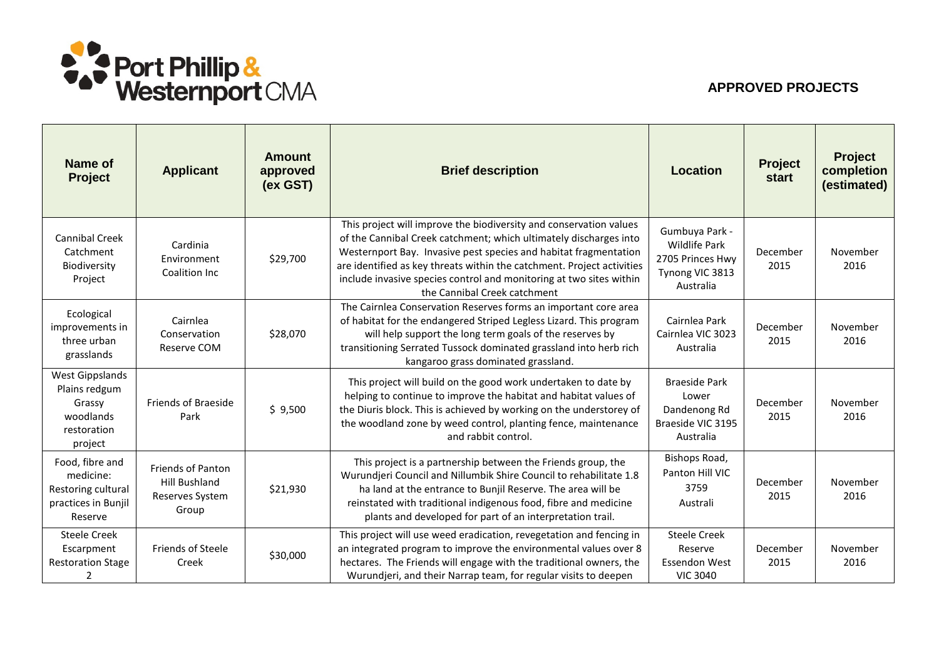

## **APPROVED PROJECTS**

| <b>Name of</b><br><b>Project</b>                                                         | <b>Applicant</b>                                                      | <b>Amount</b><br>approved<br>(ex GST) | <b>Brief description</b>                                                                                                                                                                                                                                                                                                                                                                     | Location                                                                                   | <b>Project</b><br><b>start</b> | <b>Project</b><br>completion<br>(estimated) |
|------------------------------------------------------------------------------------------|-----------------------------------------------------------------------|---------------------------------------|----------------------------------------------------------------------------------------------------------------------------------------------------------------------------------------------------------------------------------------------------------------------------------------------------------------------------------------------------------------------------------------------|--------------------------------------------------------------------------------------------|--------------------------------|---------------------------------------------|
| <b>Cannibal Creek</b><br>Catchment<br>Biodiversity<br>Project                            | Cardinia<br>Environment<br>Coalition Inc                              | \$29,700                              | This project will improve the biodiversity and conservation values<br>of the Cannibal Creek catchment; which ultimately discharges into<br>Westernport Bay. Invasive pest species and habitat fragmentation<br>are identified as key threats within the catchment. Project activities<br>include invasive species control and monitoring at two sites within<br>the Cannibal Creek catchment | Gumbuya Park -<br><b>Wildlife Park</b><br>2705 Princes Hwy<br>Tynong VIC 3813<br>Australia | December<br>2015               | November<br>2016                            |
| Ecological<br>improvements in<br>three urban<br>grasslands                               | Cairnlea<br>Conservation<br>Reserve COM                               | \$28,070                              | The Cairnlea Conservation Reserves forms an important core area<br>of habitat for the endangered Striped Legless Lizard. This program<br>will help support the long term goals of the reserves by<br>transitioning Serrated Tussock dominated grassland into herb rich<br>kangaroo grass dominated grassland.                                                                                | Cairnlea Park<br>Cairnlea VIC 3023<br>Australia                                            | December<br>2015               | November<br>2016                            |
| <b>West Gippslands</b><br>Plains redgum<br>Grassy<br>woodlands<br>restoration<br>project | <b>Friends of Braeside</b><br>Park                                    | \$9,500                               | This project will build on the good work undertaken to date by<br>helping to continue to improve the habitat and habitat values of<br>the Diuris block. This is achieved by working on the understorey of<br>the woodland zone by weed control, planting fence, maintenance<br>and rabbit control.                                                                                           | <b>Braeside Park</b><br>Lower<br>Dandenong Rd<br>Braeside VIC 3195<br>Australia            | December<br>2015               | November<br>2016                            |
| Food, fibre and<br>medicine:<br>Restoring cultural<br>practices in Bunjil<br>Reserve     | Friends of Panton<br><b>Hill Bushland</b><br>Reserves System<br>Group | \$21,930                              | This project is a partnership between the Friends group, the<br>Wurundjeri Council and Nillumbik Shire Council to rehabilitate 1.8<br>ha land at the entrance to Bunjil Reserve. The area will be<br>reinstated with traditional indigenous food, fibre and medicine<br>plants and developed for part of an interpretation trail.                                                            | Bishops Road,<br>Panton Hill VIC<br>3759<br>Australi                                       | December<br>2015               | November<br>2016                            |
| <b>Steele Creek</b><br>Escarpment<br><b>Restoration Stage</b><br>2                       | <b>Friends of Steele</b><br>Creek                                     | \$30,000                              | This project will use weed eradication, revegetation and fencing in<br>an integrated program to improve the environmental values over 8<br>hectares. The Friends will engage with the traditional owners, the<br>Wurundjeri, and their Narrap team, for regular visits to deepen                                                                                                             | <b>Steele Creek</b><br>Reserve<br><b>Essendon West</b><br><b>VIC 3040</b>                  | December<br>2015               | November<br>2016                            |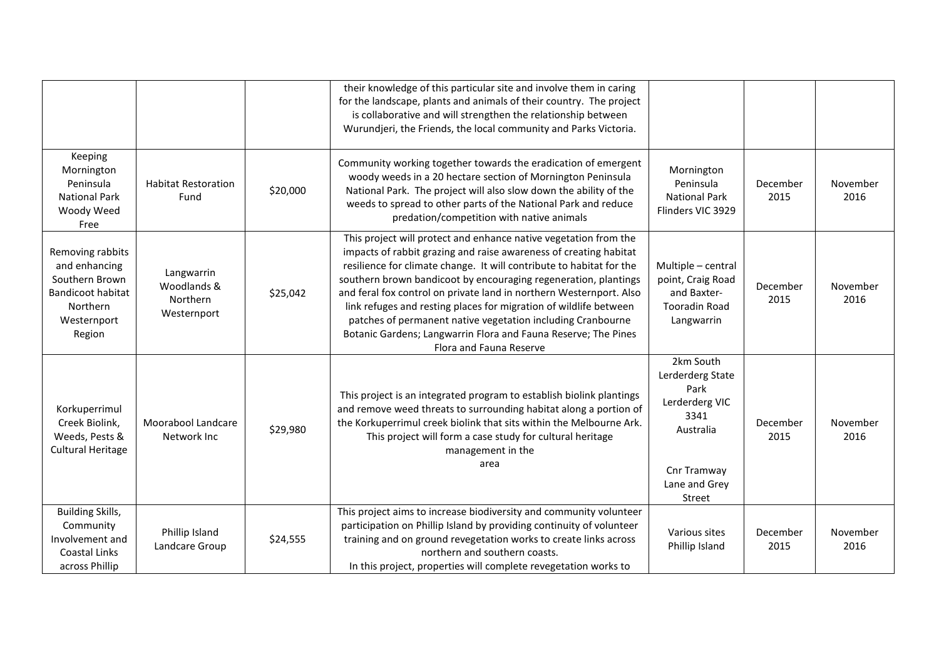|                                                                                                                      |                                                      |          | their knowledge of this particular site and involve them in caring                                                                                                                                                                                                                                                                                                                                                                                                                                                                                                                       |                                                                                                                        |                  |                  |
|----------------------------------------------------------------------------------------------------------------------|------------------------------------------------------|----------|------------------------------------------------------------------------------------------------------------------------------------------------------------------------------------------------------------------------------------------------------------------------------------------------------------------------------------------------------------------------------------------------------------------------------------------------------------------------------------------------------------------------------------------------------------------------------------------|------------------------------------------------------------------------------------------------------------------------|------------------|------------------|
|                                                                                                                      |                                                      |          | for the landscape, plants and animals of their country. The project<br>is collaborative and will strengthen the relationship between<br>Wurundjeri, the Friends, the local community and Parks Victoria.                                                                                                                                                                                                                                                                                                                                                                                 |                                                                                                                        |                  |                  |
| Keeping<br>Mornington<br>Peninsula<br><b>National Park</b><br>Woody Weed<br>Free                                     | <b>Habitat Restoration</b><br>Fund                   | \$20,000 | Community working together towards the eradication of emergent<br>woody weeds in a 20 hectare section of Mornington Peninsula<br>National Park. The project will also slow down the ability of the<br>weeds to spread to other parts of the National Park and reduce<br>predation/competition with native animals                                                                                                                                                                                                                                                                        | Mornington<br>Peninsula<br><b>National Park</b><br>Flinders VIC 3929                                                   | December<br>2015 | November<br>2016 |
| Removing rabbits<br>and enhancing<br>Southern Brown<br><b>Bandicoot habitat</b><br>Northern<br>Westernport<br>Region | Langwarrin<br>Woodlands &<br>Northern<br>Westernport | \$25,042 | This project will protect and enhance native vegetation from the<br>impacts of rabbit grazing and raise awareness of creating habitat<br>resilience for climate change. It will contribute to habitat for the<br>southern brown bandicoot by encouraging regeneration, plantings<br>and feral fox control on private land in northern Westernport. Also<br>link refuges and resting places for migration of wildlife between<br>patches of permanent native vegetation including Cranbourne<br>Botanic Gardens; Langwarrin Flora and Fauna Reserve; The Pines<br>Flora and Fauna Reserve | Multiple - central<br>point, Craig Road<br>and Baxter-<br><b>Tooradin Road</b><br>Langwarrin                           | December<br>2015 | November<br>2016 |
| Korkuperrimul<br>Creek Biolink,<br>Weeds, Pests &<br><b>Cultural Heritage</b>                                        | Moorabool Landcare<br>Network Inc                    | \$29,980 | This project is an integrated program to establish biolink plantings<br>and remove weed threats to surrounding habitat along a portion of<br>the Korkuperrimul creek biolink that sits within the Melbourne Ark.<br>This project will form a case study for cultural heritage<br>management in the<br>area                                                                                                                                                                                                                                                                               | 2km South<br>Lerderderg State<br>Park<br>Lerderderg VIC<br>3341<br>Australia<br>Cnr Tramway<br>Lane and Grey<br>Street | December<br>2015 | November<br>2016 |
| Building Skills,<br>Community<br>Involvement and<br>Coastal Links<br>across Phillip                                  | Phillip Island<br>Landcare Group                     | \$24,555 | This project aims to increase biodiversity and community volunteer<br>participation on Phillip Island by providing continuity of volunteer<br>training and on ground revegetation works to create links across<br>northern and southern coasts.<br>In this project, properties will complete revegetation works to                                                                                                                                                                                                                                                                       | Various sites<br>Phillip Island                                                                                        | December<br>2015 | November<br>2016 |